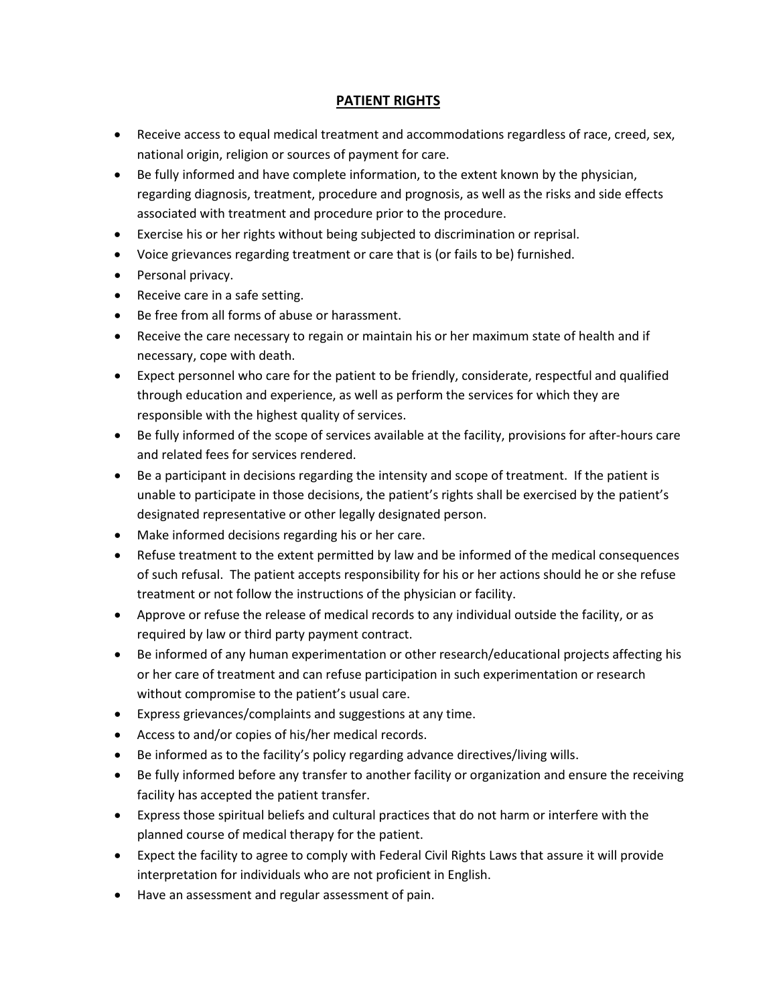## **PATIENT RIGHTS**

- Receive access to equal medical treatment and accommodations regardless of race, creed, sex, national origin, religion or sources of payment for care.
- Be fully informed and have complete information, to the extent known by the physician, regarding diagnosis, treatment, procedure and prognosis, as well as the risks and side effects associated with treatment and procedure prior to the procedure.
- Exercise his or her rights without being subjected to discrimination or reprisal.
- Voice grievances regarding treatment or care that is (or fails to be) furnished.
- Personal privacy.
- Receive care in a safe setting.
- Be free from all forms of abuse or harassment.
- Receive the care necessary to regain or maintain his or her maximum state of health and if necessary, cope with death.
- Expect personnel who care for the patient to be friendly, considerate, respectful and qualified through education and experience, as well as perform the services for which they are responsible with the highest quality of services.
- Be fully informed of the scope of services available at the facility, provisions for after-hours care and related fees for services rendered.
- Be a participant in decisions regarding the intensity and scope of treatment. If the patient is unable to participate in those decisions, the patient's rights shall be exercised by the patient's designated representative or other legally designated person.
- Make informed decisions regarding his or her care.
- Refuse treatment to the extent permitted by law and be informed of the medical consequences of such refusal. The patient accepts responsibility for his or her actions should he or she refuse treatment or not follow the instructions of the physician or facility.
- Approve or refuse the release of medical records to any individual outside the facility, or as required by law or third party payment contract.
- Be informed of any human experimentation or other research/educational projects affecting his or her care of treatment and can refuse participation in such experimentation or research without compromise to the patient's usual care.
- Express grievances/complaints and suggestions at any time.
- Access to and/or copies of his/her medical records.
- Be informed as to the facility's policy regarding advance directives/living wills.
- Be fully informed before any transfer to another facility or organization and ensure the receiving facility has accepted the patient transfer.
- Express those spiritual beliefs and cultural practices that do not harm or interfere with the planned course of medical therapy for the patient.
- Expect the facility to agree to comply with Federal Civil Rights Laws that assure it will provide interpretation for individuals who are not proficient in English.
- Have an assessment and regular assessment of pain.